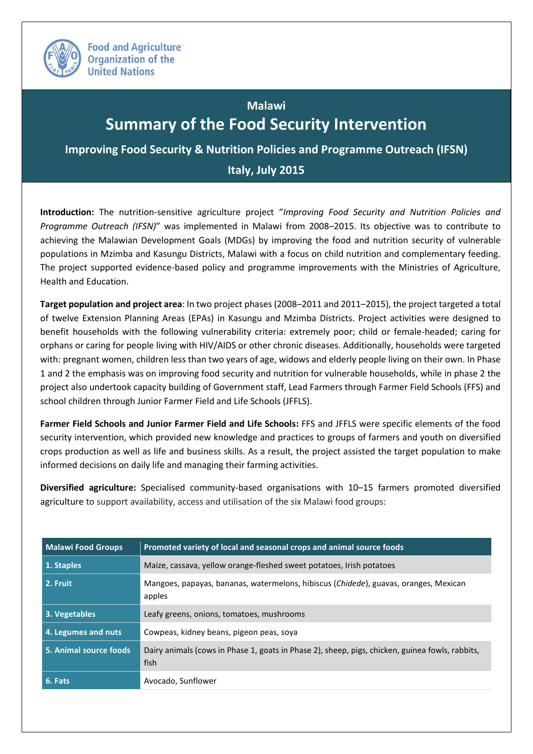

## **Immary of the Food Security Intervention Malawi**

**E.** Nutrition Dolicies and Drog **Italy, July 2015 Italy, July 2015Improving Food Security & Nutrition Policies and Programme Outreach (IFSN)**

**Introduction:** The nutrition-sensitive agriculture project "*Improving Food Security and Nutrition Policies and Programme Outreach (IFSN)*" was implemented in Malawi from 2008–2015. Its objective was to contribute to achieving the Malawian Development Goals (MDGs) by improving the food and nutrition security of vulnerable populations in Mzimba and Kasungu Districts, Malawi with a focus on child nutrition and complementary feeding. The project supported evidence-based policy and programme improvements with the Ministries of Agriculture, Health and Education.

**Target population and project area**: In two project phases (2008–2011 and 2011–2015), the project targeted a total of twelve Extension Planning Areas (EPAs) in Kasungu and Mzimba Districts. Project activities were designed to benefit households with the following vulnerability criteria: extremely poor; child or female-headed; caring for orphans or caring for people living with HIV/AIDS or other chronic diseases. Additionally, households were targeted with: pregnant women, children less than two years of age, widows and elderly people living on their own. In Phase 1 and 2 the emphasis was on improving food security and nutrition for vulnerable households, while in phase 2 the project also undertook capacity building of Government staff, Lead Farmers through Farmer Field Schools (FFS) and school children through Junior Farmer Field and Life Schools (JFFLS).

**Farmer Field Schools and Junior Farmer Field and Life Schools:** FFS and JFFLS were specific elements of the food security intervention, which provided new knowledge and practices to groups of farmers and youth on diversified crops production as well as life and business skills. As a result, the project assisted the target population to make informed decisions on daily life and managing their farming activities.

**Diversified agriculture:** Specialised community-based organisations with 10–15 farmers promoted diversified agriculture to support availability, access and utilisation of the six Malawi food groups:

| <b>Malawi Food Groups</b> | Promoted variety of local and seasonal crops and animal source foods                                    |  |
|---------------------------|---------------------------------------------------------------------------------------------------------|--|
| 1. Staples                | Maize, cassava, yellow orange-fleshed sweet potatoes, Irish potatoes                                    |  |
| 2. Fruit                  | Mangoes, papayas, bananas, watermelons, hibiscus (Chidede), guavas, oranges, Mexican<br>apples          |  |
| 3. Vegetables             | Leafy greens, onions, tomatoes, mushrooms                                                               |  |
| 4. Legumes and nuts       | Cowpeas, kidney beans, pigeon peas, soya                                                                |  |
| 5. Animal source foods    | Dairy animals (cows in Phase 1, goats in Phase 2), sheep, pigs, chicken, guinea fowls, rabbits,<br>fish |  |
| 6. Fats                   | Avocado, Sunflower                                                                                      |  |